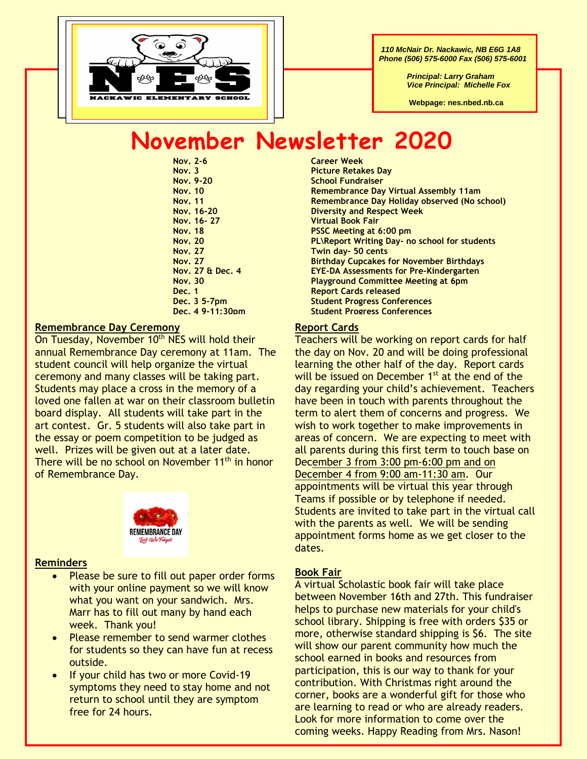

 *110 McNair Dr. Nackawic, NB E6G 1A8 Phone (506) 575-6000 Fax (506) 575-6001*

> *Principal: Larry Graham Vice Principal: Michelle Fox*

 **Webpage: nes.nbed.nb.ca**

# **November Newsletter 2020**

**Nov. 2-6 Career Week**

#### **Remembrance Day Ceremony**

On Tuesday, November 10<sup>th</sup> NES will hold their annual Remembrance Day ceremony at 11am. The student council will help organize the virtual ceremony and many classes will be taking part. Students may place a cross in the memory of a loved one fallen at war on their classroom bulletin board display. All students will take part in the art contest. Gr. 5 students will also take part in the essay or poem competition to be judged as well. Prizes will be given out at a later date. There will be no school on November 11<sup>th</sup> in honor of Remembrance Day.



#### **Reminders**

- Please be sure to fill out paper order forms with your online payment so we will know what you want on your sandwich. Mrs. Marr has to fill out many by hand each week. Thank you!
- Please remember to send warmer clothes for students so they can have fun at recess outside.
- If your child has two or more Covid-19 symptoms they need to stay home and not return to school until they are symptom free for 24 hours.

**Nov. 3 Picture Retakes Day School Fundraiser Nov. 10 Remembrance Day Virtual Assembly 11am Nov. 11 Remembrance Day Holiday observed (No school) Nov. 16-20 Diversity and Respect Week Nov. 16- 27 Virtual Book Fair Nov. 18 PSSC Meeting at 6:00 pm Nov. 20 PL\Report Writing Day- no school for students Nov. 27 Twin day- 50 cents Nov. 27 Birthday Cupcakes for November Birthdays Nov. 27 & Dec. 4 EYE-DA Assessments for Pre-Kindergarten Nov. 30 Playground Committee Meeting at 6pm Dec. 1 Report Cards released Dec. 3 5-7pm Student Progress Conferences Dec. 4 9-11:30pm Student Progress Conferences**

### **Report Cards**

Teachers will be working on report cards for half the day on Nov. 20 and will be doing professional learning the other half of the day. Report cards will be issued on December 1<sup>st</sup> at the end of the day regarding your child's achievement. Teachers have been in touch with parents throughout the term to alert them of concerns and progress. We wish to work together to make improvements in areas of concern. We are expecting to meet with all parents during this first term to touch base on December 3 from 3:00 pm-6:00 pm and on December 4 from 9:00 am-11:30 am. Our appointments will be virtual this year through Teams if possible or by telephone if needed. Students are invited to take part in the virtual call with the parents as well. We will be sending appointment forms home as we get closer to the dates.

#### **Book Fair**

A virtual Scholastic book fair will take place between November 16th and 27th. This fundraiser helps to purchase new materials for your child's school library. Shipping is free with orders \$35 or more, otherwise standard shipping is \$6. The site will show our parent community how much the school earned in books and resources from participation, this is our way to thank for your contribution. With Christmas right around the corner, books are a wonderful gift for those who are learning to read or who are already readers. Look for more information to come over the coming weeks. Happy Reading from Mrs. Nason!